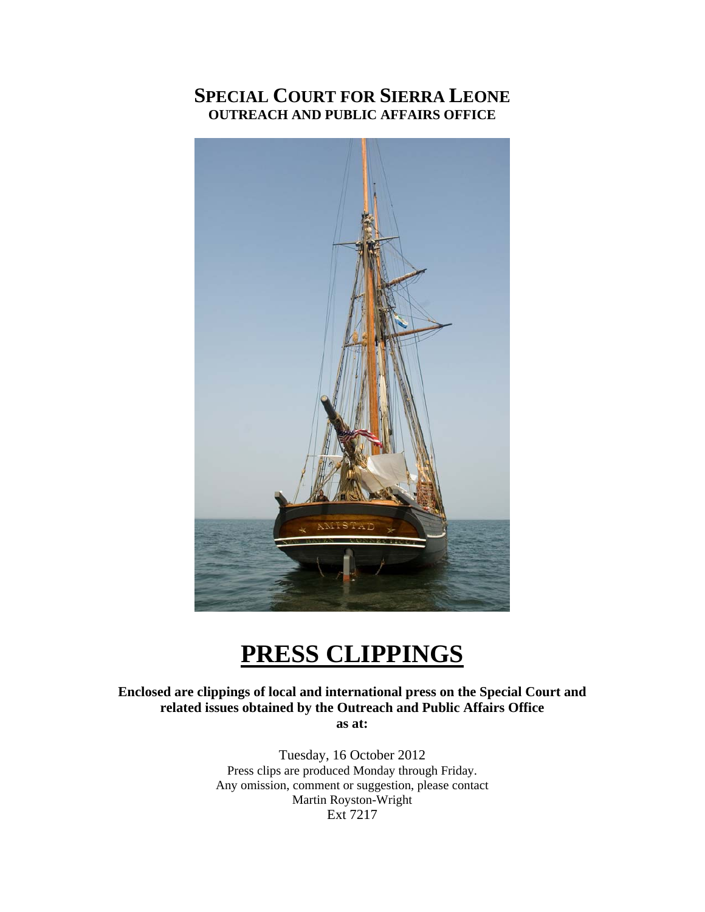## **SPECIAL COURT FOR SIERRA LEONE OUTREACH AND PUBLIC AFFAIRS OFFICE**



# **PRESS CLIPPINGS**

**Enclosed are clippings of local and international press on the Special Court and related issues obtained by the Outreach and Public Affairs Office as at:** 

> Tuesday, 16 October 2012 Press clips are produced Monday through Friday. Any omission, comment or suggestion, please contact Martin Royston-Wright Ext 7217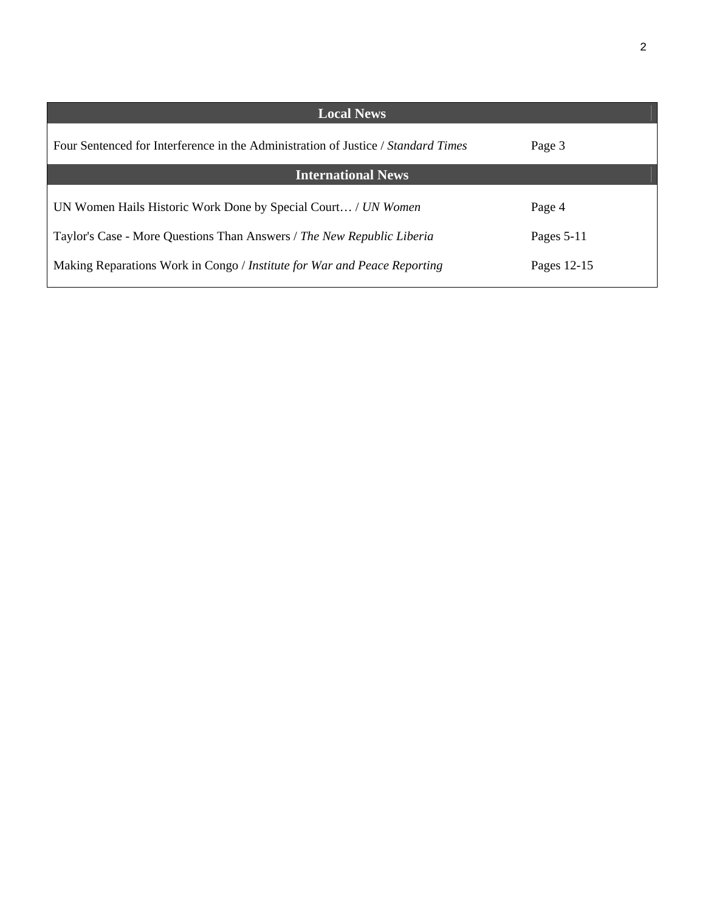| <b>Local News</b>                                                                 |              |
|-----------------------------------------------------------------------------------|--------------|
| Four Sentenced for Interference in the Administration of Justice / Standard Times | Page 3       |
| <b>International News</b>                                                         |              |
| UN Women Hails Historic Work Done by Special Court / UN Women                     | Page 4       |
| Taylor's Case - More Questions Than Answers / The New Republic Liberia            | Pages $5-11$ |
| Making Reparations Work in Congo / Institute for War and Peace Reporting          | Pages 12-15  |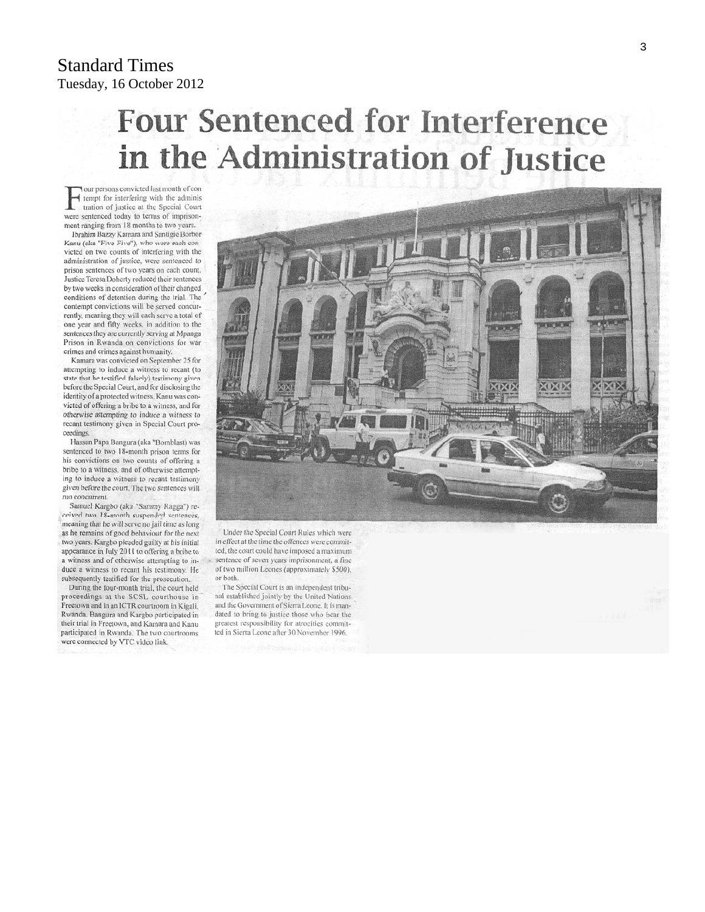#### Standard Times Tuesday, 16 October 2012

# **Four Sentenced for Interference** in the Administration of Justice

our persons convicted last month of con tempt for interfering with the adminis tration of justice at the Special Court were sentenced today to terms of imprisonment ranging from 18 months to two years.

Ibrahim Bazzy Kamara and Santigie Borbor Kanu (aka "Five-Five"), who were each victed on two counts of interfering with the administration of justice, were sentenced to prison sentences of two years on each count. Justice Teresa Doherty reduced their sentences by two weeks in consideration of their changed conditions of detention during the trial. The contempt convictions will be served concurrently, meaning they will each serve a total of one year and fifty weeks, in addition to the sentences they are currently serving at Mpanga Prison in Rwanda on convictions for war crimes and crimes against humanity.

Kamara was convicted on September 25 for attempting to induce a witness to recant (to state that he testified falsely) testimony given before the Special Court, and for disclosing the identity of a protected witness. Kanu was convicted of offering a bribe to a witness, and for otherwise attempting to induce a witness to recant testimony given in Special Court proceedings.

Hassan Papa Bangura (aka "Bomblast) was sentenced to two 18-month prison terms for his convictions on two counts of offering a bribe to a witness, and of otherwise attempting to induce a witness to recant testimony given before the court. The two sentences will run concurrent.

Samuel Kargbo (aka "Sammy Ragga") received two 18-month suspended sentences, meaning that he will serve no jail time as long as he remains of good behaviour for the next two years. Kargbo pleaded guilty at his initial appearance in July 2011 to offering a bribe to a witness and of otherwise attempting to induce a witness to recant his testimony. He subsequently testified for the prosecution.

During the four-month trial, the court held proceedings at the SCSL courthouse in Freetown and in an ICTR courtroom in Kigali, Rwanda. Bangura and Kargbo participated in their trial in Freetown, and Kamara and Kanu participated in Rwanda. The two courtrooms were connected by VTC video link.



Under the Special Court Rules which were in effect at the time the offences were committed, the court could have imposed a maximum sentence of seven years imprisonment, a fine of two million Leones (approximately \$500), or both

The Special Court is an independent tribunal established jointly by the United Nations. and the Government of Sierra Leone. It is mandated to bring to justice those who bear the greatest responsibility for atrocities committed in Sierra Leone after 30 November 1996.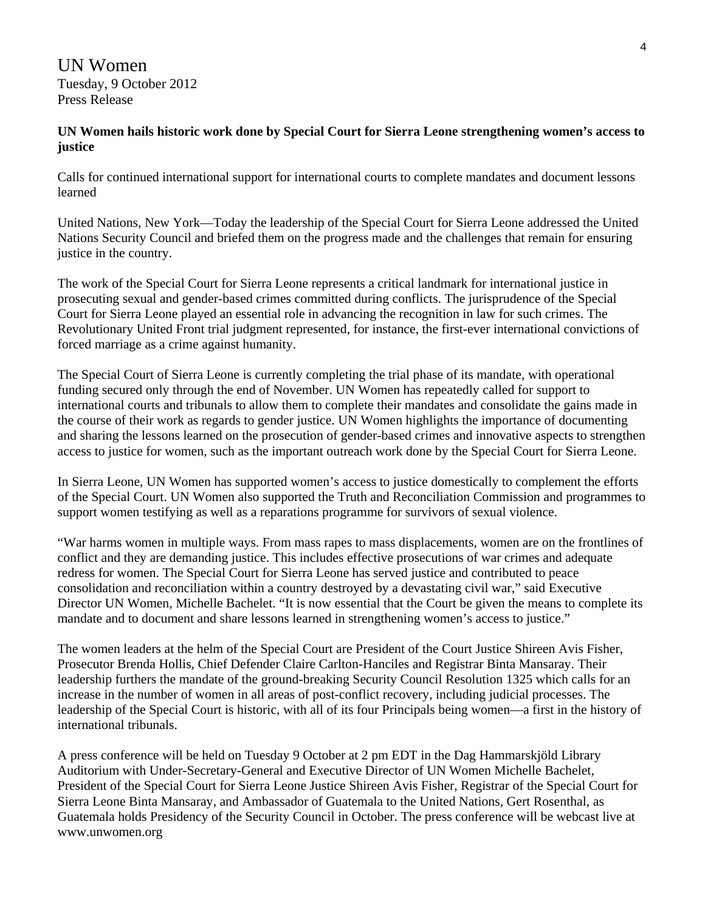UN Women Tuesday, 9 October 2012 Press Release

#### **UN Women hails historic work done by Special Court for Sierra Leone strengthening women's access to justice**

Calls for continued international support for international courts to complete mandates and document lessons learned

United Nations, New York—Today the leadership of the Special Court for Sierra Leone addressed the United Nations Security Council and briefed them on the progress made and the challenges that remain for ensuring justice in the country.

The work of the Special Court for Sierra Leone represents a critical landmark for international justice in prosecuting sexual and gender-based crimes committed during conflicts. The jurisprudence of the Special Court for Sierra Leone played an essential role in advancing the recognition in law for such crimes. The Revolutionary United Front trial judgment represented, for instance, the first-ever international convictions of forced marriage as a crime against humanity.

The Special Court of Sierra Leone is currently completing the trial phase of its mandate, with operational funding secured only through the end of November. UN Women has repeatedly called for support to international courts and tribunals to allow them to complete their mandates and consolidate the gains made in the course of their work as regards to gender justice. UN Women highlights the importance of documenting and sharing the lessons learned on the prosecution of gender-based crimes and innovative aspects to strengthen access to justice for women, such as the important outreach work done by the Special Court for Sierra Leone.

In Sierra Leone, UN Women has supported women's access to justice domestically to complement the efforts of the Special Court. UN Women also supported the Truth and Reconciliation Commission and programmes to support women testifying as well as a reparations programme for survivors of sexual violence.

"War harms women in multiple ways. From mass rapes to mass displacements, women are on the frontlines of conflict and they are demanding justice. This includes effective prosecutions of war crimes and adequate redress for women. The Special Court for Sierra Leone has served justice and contributed to peace consolidation and reconciliation within a country destroyed by a devastating civil war," said Executive Director UN Women, Michelle Bachelet. "It is now essential that the Court be given the means to complete its mandate and to document and share lessons learned in strengthening women's access to justice."

The women leaders at the helm of the Special Court are President of the Court Justice Shireen Avis Fisher, Prosecutor Brenda Hollis, Chief Defender Claire Carlton-Hanciles and Registrar Binta Mansaray. Their leadership furthers the mandate of the ground-breaking Security Council Resolution 1325 which calls for an increase in the number of women in all areas of post-conflict recovery, including judicial processes. The leadership of the Special Court is historic, with all of its four Principals being women—a first in the history of international tribunals.

A press conference will be held on Tuesday 9 October at 2 pm EDT in the Dag Hammarskjöld Library Auditorium with Under-Secretary-General and Executive Director of UN Women Michelle Bachelet, President of the Special Court for Sierra Leone Justice Shireen Avis Fisher, Registrar of the Special Court for Sierra Leone Binta Mansaray, and Ambassador of Guatemala to the United Nations, Gert Rosenthal, as Guatemala holds Presidency of the Security Council in October. The press conference will be webcast live at www.unwomen.org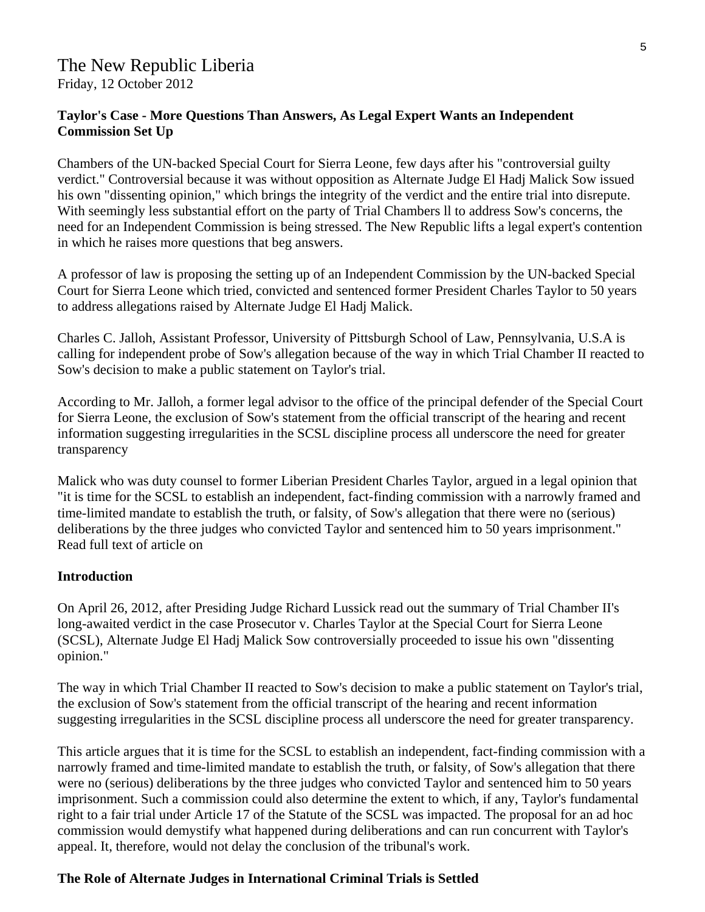#### The New Republic Liberia Friday, 12 October 2012

#### **Taylor's Case - More Questions Than Answers, As Legal Expert Wants an Independent Commission Set Up**

Chambers of the UN-backed Special Court for Sierra Leone, few days after his "controversial guilty verdict." Controversial because it was without opposition as Alternate Judge El Hadj Malick Sow issued his own "dissenting opinion," which brings the integrity of the verdict and the entire trial into disrepute. With seemingly less substantial effort on the party of Trial Chambers ll to address Sow's concerns, the need for an Independent Commission is being stressed. The New Republic lifts a legal expert's contention in which he raises more questions that beg answers.

A professor of law is proposing the setting up of an Independent Commission by the UN-backed Special Court for Sierra Leone which tried, convicted and sentenced former President Charles Taylor to 50 years to address allegations raised by Alternate Judge El Hadj Malick.

Charles C. Jalloh, Assistant Professor, University of Pittsburgh School of Law, Pennsylvania, U.S.A is calling for independent probe of Sow's allegation because of the way in which Trial Chamber II reacted to Sow's decision to make a public statement on Taylor's trial.

According to Mr. Jalloh, a former legal advisor to the office of the principal defender of the Special Court for Sierra Leone, the exclusion of Sow's statement from the official transcript of the hearing and recent information suggesting irregularities in the SCSL discipline process all underscore the need for greater transparency

Malick who was duty counsel to former Liberian President Charles Taylor, argued in a legal opinion that "it is time for the SCSL to establish an independent, fact-finding commission with a narrowly framed and time-limited mandate to establish the truth, or falsity, of Sow's allegation that there were no (serious) deliberations by the three judges who convicted Taylor and sentenced him to 50 years imprisonment." Read full text of article on

#### **Introduction**

On April 26, 2012, after Presiding Judge Richard Lussick read out the summary of Trial Chamber II's long-awaited verdict in the case Prosecutor v. Charles Taylor at the Special Court for Sierra Leone (SCSL), Alternate Judge El Hadj Malick Sow controversially proceeded to issue his own "dissenting opinion."

The way in which Trial Chamber II reacted to Sow's decision to make a public statement on Taylor's trial, the exclusion of Sow's statement from the official transcript of the hearing and recent information suggesting irregularities in the SCSL discipline process all underscore the need for greater transparency.

This article argues that it is time for the SCSL to establish an independent, fact-finding commission with a narrowly framed and time-limited mandate to establish the truth, or falsity, of Sow's allegation that there were no (serious) deliberations by the three judges who convicted Taylor and sentenced him to 50 years imprisonment. Such a commission could also determine the extent to which, if any, Taylor's fundamental right to a fair trial under Article 17 of the Statute of the SCSL was impacted. The proposal for an ad hoc commission would demystify what happened during deliberations and can run concurrent with Taylor's appeal. It, therefore, would not delay the conclusion of the tribunal's work.

#### **The Role of Alternate Judges in International Criminal Trials is Settled**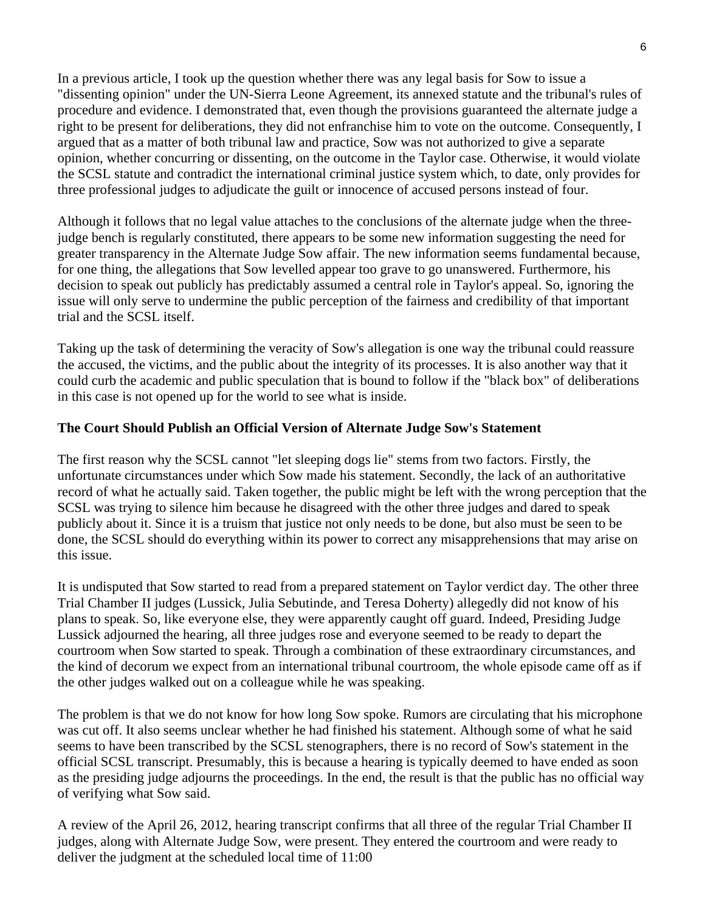In a previous article, I took up the question whether there was any legal basis for Sow to issue a "dissenting opinion" under the UN-Sierra Leone Agreement, its annexed statute and the tribunal's rules of procedure and evidence. I demonstrated that, even though the provisions guaranteed the alternate judge a right to be present for deliberations, they did not enfranchise him to vote on the outcome. Consequently, I argued that as a matter of both tribunal law and practice, Sow was not authorized to give a separate opinion, whether concurring or dissenting, on the outcome in the Taylor case. Otherwise, it would violate the SCSL statute and contradict the international criminal justice system which, to date, only provides for three professional judges to adjudicate the guilt or innocence of accused persons instead of four.

Although it follows that no legal value attaches to the conclusions of the alternate judge when the threejudge bench is regularly constituted, there appears to be some new information suggesting the need for greater transparency in the Alternate Judge Sow affair. The new information seems fundamental because, for one thing, the allegations that Sow levelled appear too grave to go unanswered. Furthermore, his decision to speak out publicly has predictably assumed a central role in Taylor's appeal. So, ignoring the issue will only serve to undermine the public perception of the fairness and credibility of that important trial and the SCSL itself.

Taking up the task of determining the veracity of Sow's allegation is one way the tribunal could reassure the accused, the victims, and the public about the integrity of its processes. It is also another way that it could curb the academic and public speculation that is bound to follow if the "black box" of deliberations in this case is not opened up for the world to see what is inside.

#### **The Court Should Publish an Official Version of Alternate Judge Sow's Statement**

The first reason why the SCSL cannot "let sleeping dogs lie" stems from two factors. Firstly, the unfortunate circumstances under which Sow made his statement. Secondly, the lack of an authoritative record of what he actually said. Taken together, the public might be left with the wrong perception that the SCSL was trying to silence him because he disagreed with the other three judges and dared to speak publicly about it. Since it is a truism that justice not only needs to be done, but also must be seen to be done, the SCSL should do everything within its power to correct any misapprehensions that may arise on this issue.

It is undisputed that Sow started to read from a prepared statement on Taylor verdict day. The other three Trial Chamber II judges (Lussick, Julia Sebutinde, and Teresa Doherty) allegedly did not know of his plans to speak. So, like everyone else, they were apparently caught off guard. Indeed, Presiding Judge Lussick adjourned the hearing, all three judges rose and everyone seemed to be ready to depart the courtroom when Sow started to speak. Through a combination of these extraordinary circumstances, and the kind of decorum we expect from an international tribunal courtroom, the whole episode came off as if the other judges walked out on a colleague while he was speaking.

The problem is that we do not know for how long Sow spoke. Rumors are circulating that his microphone was cut off. It also seems unclear whether he had finished his statement. Although some of what he said seems to have been transcribed by the SCSL stenographers, there is no record of Sow's statement in the official SCSL transcript. Presumably, this is because a hearing is typically deemed to have ended as soon as the presiding judge adjourns the proceedings. In the end, the result is that the public has no official way of verifying what Sow said.

A review of the April 26, 2012, hearing transcript confirms that all three of the regular Trial Chamber II judges, along with Alternate Judge Sow, were present. They entered the courtroom and were ready to deliver the judgment at the scheduled local time of 11:00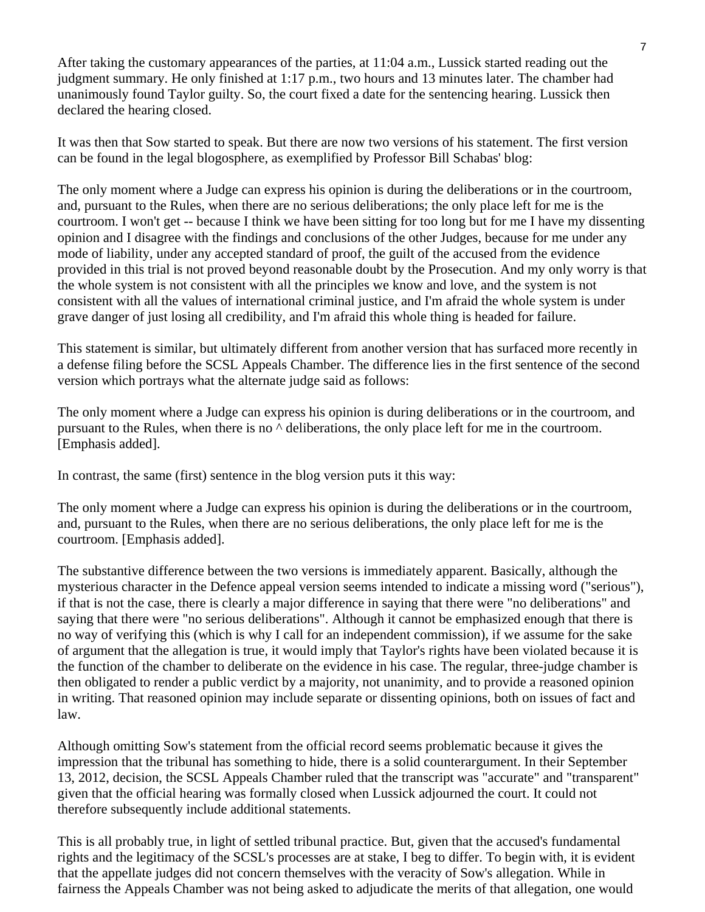After taking the customary appearances of the parties, at 11:04 a.m., Lussick started reading out the judgment summary. He only finished at 1:17 p.m., two hours and 13 minutes later. The chamber had unanimously found Taylor guilty. So, the court fixed a date for the sentencing hearing. Lussick then declared the hearing closed.

It was then that Sow started to speak. But there are now two versions of his statement. The first version can be found in the legal blogosphere, as exemplified by Professor Bill Schabas' blog:

The only moment where a Judge can express his opinion is during the deliberations or in the courtroom, and, pursuant to the Rules, when there are no serious deliberations; the only place left for me is the courtroom. I won't get -- because I think we have been sitting for too long but for me I have my dissenting opinion and I disagree with the findings and conclusions of the other Judges, because for me under any mode of liability, under any accepted standard of proof, the guilt of the accused from the evidence provided in this trial is not proved beyond reasonable doubt by the Prosecution. And my only worry is that the whole system is not consistent with all the principles we know and love, and the system is not consistent with all the values of international criminal justice, and I'm afraid the whole system is under grave danger of just losing all credibility, and I'm afraid this whole thing is headed for failure.

This statement is similar, but ultimately different from another version that has surfaced more recently in a defense filing before the SCSL Appeals Chamber. The difference lies in the first sentence of the second version which portrays what the alternate judge said as follows:

The only moment where a Judge can express his opinion is during deliberations or in the courtroom, and pursuant to the Rules, when there is no ^ deliberations, the only place left for me in the courtroom. [Emphasis added].

In contrast, the same (first) sentence in the blog version puts it this way:

The only moment where a Judge can express his opinion is during the deliberations or in the courtroom, and, pursuant to the Rules, when there are no serious deliberations, the only place left for me is the courtroom. [Emphasis added].

The substantive difference between the two versions is immediately apparent. Basically, although the mysterious character in the Defence appeal version seems intended to indicate a missing word ("serious"), if that is not the case, there is clearly a major difference in saying that there were "no deliberations" and saying that there were "no serious deliberations". Although it cannot be emphasized enough that there is no way of verifying this (which is why I call for an independent commission), if we assume for the sake of argument that the allegation is true, it would imply that Taylor's rights have been violated because it is the function of the chamber to deliberate on the evidence in his case. The regular, three-judge chamber is then obligated to render a public verdict by a majority, not unanimity, and to provide a reasoned opinion in writing. That reasoned opinion may include separate or dissenting opinions, both on issues of fact and law.

Although omitting Sow's statement from the official record seems problematic because it gives the impression that the tribunal has something to hide, there is a solid counterargument. In their September 13, 2012, decision, the SCSL Appeals Chamber ruled that the transcript was "accurate" and "transparent" given that the official hearing was formally closed when Lussick adjourned the court. It could not therefore subsequently include additional statements.

This is all probably true, in light of settled tribunal practice. But, given that the accused's fundamental rights and the legitimacy of the SCSL's processes are at stake, I beg to differ. To begin with, it is evident that the appellate judges did not concern themselves with the veracity of Sow's allegation. While in fairness the Appeals Chamber was not being asked to adjudicate the merits of that allegation, one would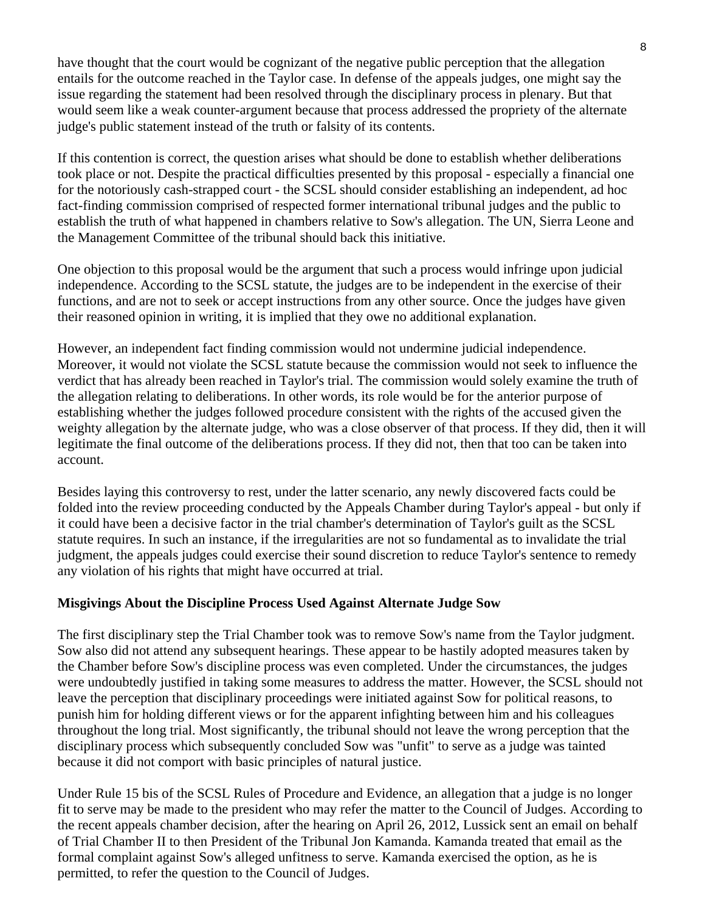have thought that the court would be cognizant of the negative public perception that the allegation entails for the outcome reached in the Taylor case. In defense of the appeals judges, one might say the issue regarding the statement had been resolved through the disciplinary process in plenary. But that would seem like a weak counter-argument because that process addressed the propriety of the alternate judge's public statement instead of the truth or falsity of its contents.

If this contention is correct, the question arises what should be done to establish whether deliberations took place or not. Despite the practical difficulties presented by this proposal - especially a financial one for the notoriously cash-strapped court - the SCSL should consider establishing an independent, ad hoc fact-finding commission comprised of respected former international tribunal judges and the public to establish the truth of what happened in chambers relative to Sow's allegation. The UN, Sierra Leone and the Management Committee of the tribunal should back this initiative.

One objection to this proposal would be the argument that such a process would infringe upon judicial independence. According to the SCSL statute, the judges are to be independent in the exercise of their functions, and are not to seek or accept instructions from any other source. Once the judges have given their reasoned opinion in writing, it is implied that they owe no additional explanation.

However, an independent fact finding commission would not undermine judicial independence. Moreover, it would not violate the SCSL statute because the commission would not seek to influence the verdict that has already been reached in Taylor's trial. The commission would solely examine the truth of the allegation relating to deliberations. In other words, its role would be for the anterior purpose of establishing whether the judges followed procedure consistent with the rights of the accused given the weighty allegation by the alternate judge, who was a close observer of that process. If they did, then it will legitimate the final outcome of the deliberations process. If they did not, then that too can be taken into account.

Besides laying this controversy to rest, under the latter scenario, any newly discovered facts could be folded into the review proceeding conducted by the Appeals Chamber during Taylor's appeal - but only if it could have been a decisive factor in the trial chamber's determination of Taylor's guilt as the SCSL statute requires. In such an instance, if the irregularities are not so fundamental as to invalidate the trial judgment, the appeals judges could exercise their sound discretion to reduce Taylor's sentence to remedy any violation of his rights that might have occurred at trial.

#### **Misgivings About the Discipline Process Used Against Alternate Judge Sow**

The first disciplinary step the Trial Chamber took was to remove Sow's name from the Taylor judgment. Sow also did not attend any subsequent hearings. These appear to be hastily adopted measures taken by the Chamber before Sow's discipline process was even completed. Under the circumstances, the judges were undoubtedly justified in taking some measures to address the matter. However, the SCSL should not leave the perception that disciplinary proceedings were initiated against Sow for political reasons, to punish him for holding different views or for the apparent infighting between him and his colleagues throughout the long trial. Most significantly, the tribunal should not leave the wrong perception that the disciplinary process which subsequently concluded Sow was "unfit" to serve as a judge was tainted because it did not comport with basic principles of natural justice.

Under Rule 15 bis of the SCSL Rules of Procedure and Evidence, an allegation that a judge is no longer fit to serve may be made to the president who may refer the matter to the Council of Judges. According to the recent appeals chamber decision, after the hearing on April 26, 2012, Lussick sent an email on behalf of Trial Chamber II to then President of the Tribunal Jon Kamanda. Kamanda treated that email as the formal complaint against Sow's alleged unfitness to serve. Kamanda exercised the option, as he is permitted, to refer the question to the Council of Judges.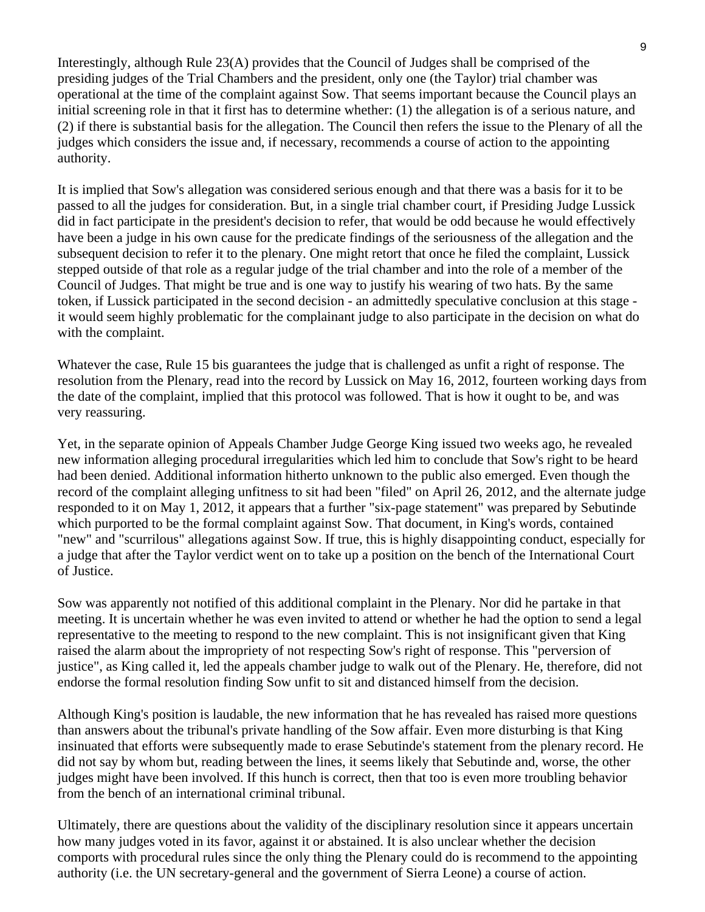Interestingly, although Rule 23(A) provides that the Council of Judges shall be comprised of the presiding judges of the Trial Chambers and the president, only one (the Taylor) trial chamber was operational at the time of the complaint against Sow. That seems important because the Council plays an initial screening role in that it first has to determine whether: (1) the allegation is of a serious nature, and (2) if there is substantial basis for the allegation. The Council then refers the issue to the Plenary of all the judges which considers the issue and, if necessary, recommends a course of action to the appointing authority.

It is implied that Sow's allegation was considered serious enough and that there was a basis for it to be passed to all the judges for consideration. But, in a single trial chamber court, if Presiding Judge Lussick did in fact participate in the president's decision to refer, that would be odd because he would effectively have been a judge in his own cause for the predicate findings of the seriousness of the allegation and the subsequent decision to refer it to the plenary. One might retort that once he filed the complaint, Lussick stepped outside of that role as a regular judge of the trial chamber and into the role of a member of the Council of Judges. That might be true and is one way to justify his wearing of two hats. By the same token, if Lussick participated in the second decision - an admittedly speculative conclusion at this stage it would seem highly problematic for the complainant judge to also participate in the decision on what do with the complaint.

Whatever the case, Rule 15 bis guarantees the judge that is challenged as unfit a right of response. The resolution from the Plenary, read into the record by Lussick on May 16, 2012, fourteen working days from the date of the complaint, implied that this protocol was followed. That is how it ought to be, and was very reassuring.

Yet, in the separate opinion of Appeals Chamber Judge George King issued two weeks ago, he revealed new information alleging procedural irregularities which led him to conclude that Sow's right to be heard had been denied. Additional information hitherto unknown to the public also emerged. Even though the record of the complaint alleging unfitness to sit had been "filed" on April 26, 2012, and the alternate judge responded to it on May 1, 2012, it appears that a further "six-page statement" was prepared by Sebutinde which purported to be the formal complaint against Sow. That document, in King's words, contained "new" and "scurrilous" allegations against Sow. If true, this is highly disappointing conduct, especially for a judge that after the Taylor verdict went on to take up a position on the bench of the International Court of Justice.

Sow was apparently not notified of this additional complaint in the Plenary. Nor did he partake in that meeting. It is uncertain whether he was even invited to attend or whether he had the option to send a legal representative to the meeting to respond to the new complaint. This is not insignificant given that King raised the alarm about the impropriety of not respecting Sow's right of response. This "perversion of justice", as King called it, led the appeals chamber judge to walk out of the Plenary. He, therefore, did not endorse the formal resolution finding Sow unfit to sit and distanced himself from the decision.

Although King's position is laudable, the new information that he has revealed has raised more questions than answers about the tribunal's private handling of the Sow affair. Even more disturbing is that King insinuated that efforts were subsequently made to erase Sebutinde's statement from the plenary record. He did not say by whom but, reading between the lines, it seems likely that Sebutinde and, worse, the other judges might have been involved. If this hunch is correct, then that too is even more troubling behavior from the bench of an international criminal tribunal.

Ultimately, there are questions about the validity of the disciplinary resolution since it appears uncertain how many judges voted in its favor, against it or abstained. It is also unclear whether the decision comports with procedural rules since the only thing the Plenary could do is recommend to the appointing authority (i.e. the UN secretary-general and the government of Sierra Leone) a course of action.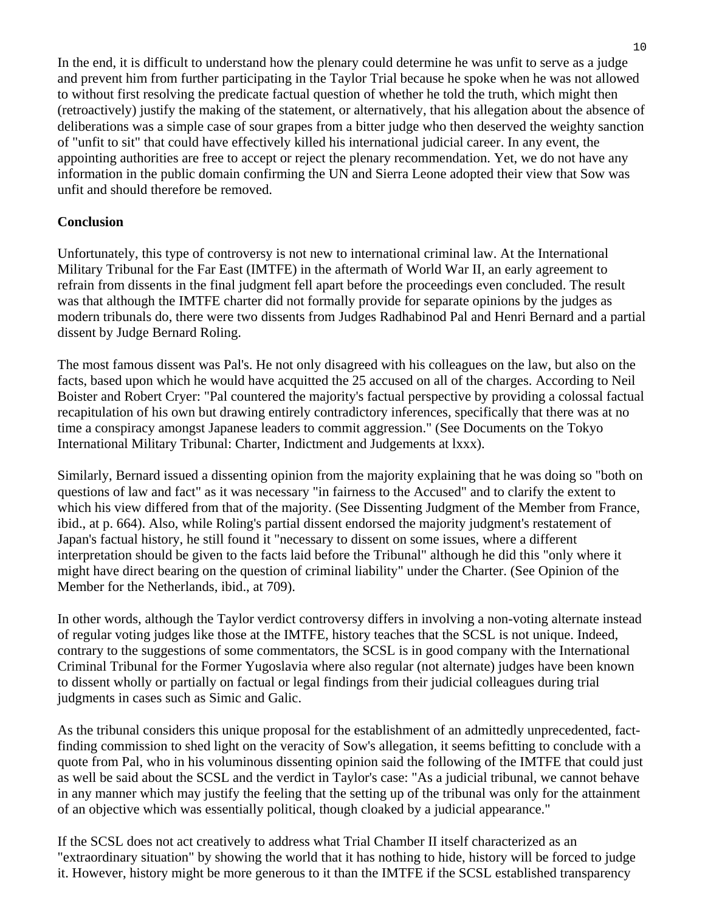In the end, it is difficult to understand how the plenary could determine he was unfit to serve as a judge and prevent him from further participating in the Taylor Trial because he spoke when he was not allowed to without first resolving the predicate factual question of whether he told the truth, which might then (retroactively) justify the making of the statement, or alternatively, that his allegation about the absence of deliberations was a simple case of sour grapes from a bitter judge who then deserved the weighty sanction of "unfit to sit" that could have effectively killed his international judicial career. In any event, the appointing authorities are free to accept or reject the plenary recommendation. Yet, we do not have any information in the public domain confirming the UN and Sierra Leone adopted their view that Sow was unfit and should therefore be removed.

#### **Conclusion**

Unfortunately, this type of controversy is not new to international criminal law. At the International Military Tribunal for the Far East (IMTFE) in the aftermath of World War II, an early agreement to refrain from dissents in the final judgment fell apart before the proceedings even concluded. The result was that although the IMTFE charter did not formally provide for separate opinions by the judges as modern tribunals do, there were two dissents from Judges Radhabinod Pal and Henri Bernard and a partial dissent by Judge Bernard Roling.

The most famous dissent was Pal's. He not only disagreed with his colleagues on the law, but also on the facts, based upon which he would have acquitted the 25 accused on all of the charges. According to Neil Boister and Robert Cryer: "Pal countered the majority's factual perspective by providing a colossal factual recapitulation of his own but drawing entirely contradictory inferences, specifically that there was at no time a conspiracy amongst Japanese leaders to commit aggression." (See Documents on the Tokyo International Military Tribunal: Charter, Indictment and Judgements at lxxx).

Similarly, Bernard issued a dissenting opinion from the majority explaining that he was doing so "both on questions of law and fact" as it was necessary "in fairness to the Accused" and to clarify the extent to which his view differed from that of the majority. (See Dissenting Judgment of the Member from France, ibid., at p. 664). Also, while Roling's partial dissent endorsed the majority judgment's restatement of Japan's factual history, he still found it "necessary to dissent on some issues, where a different interpretation should be given to the facts laid before the Tribunal" although he did this "only where it might have direct bearing on the question of criminal liability" under the Charter. (See Opinion of the Member for the Netherlands, ibid., at 709).

In other words, although the Taylor verdict controversy differs in involving a non-voting alternate instead of regular voting judges like those at the IMTFE, history teaches that the SCSL is not unique. Indeed, contrary to the suggestions of some commentators, the SCSL is in good company with the International Criminal Tribunal for the Former Yugoslavia where also regular (not alternate) judges have been known to dissent wholly or partially on factual or legal findings from their judicial colleagues during trial judgments in cases such as Simic and Galic.

As the tribunal considers this unique proposal for the establishment of an admittedly unprecedented, factfinding commission to shed light on the veracity of Sow's allegation, it seems befitting to conclude with a quote from Pal, who in his voluminous dissenting opinion said the following of the IMTFE that could just as well be said about the SCSL and the verdict in Taylor's case: "As a judicial tribunal, we cannot behave in any manner which may justify the feeling that the setting up of the tribunal was only for the attainment of an objective which was essentially political, though cloaked by a judicial appearance."

If the SCSL does not act creatively to address what Trial Chamber II itself characterized as an "extraordinary situation" by showing the world that it has nothing to hide, history will be forced to judge it. However, history might be more generous to it than the IMTFE if the SCSL established transparency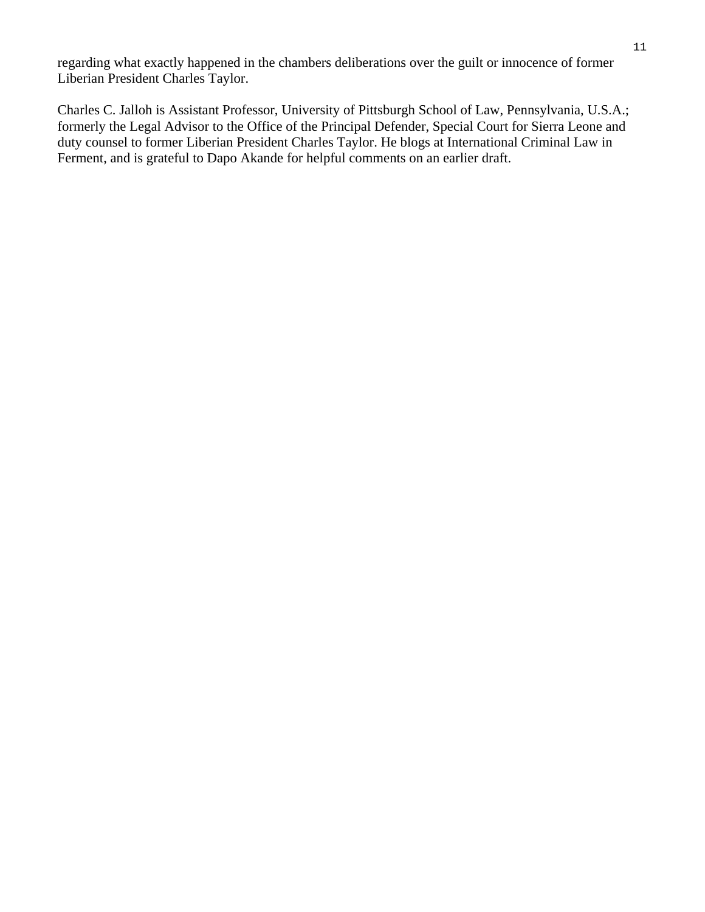regarding what exactly happened in the chambers deliberations over the guilt or innocence of former Liberian President Charles Taylor.

Charles C. Jalloh is Assistant Professor, University of Pittsburgh School of Law, Pennsylvania, U.S.A.; formerly the Legal Advisor to the Office of the Principal Defender, Special Court for Sierra Leone and duty counsel to former Liberian President Charles Taylor. He blogs at International Criminal Law in Ferment, and is grateful to Dapo Akande for helpful comments on an earlier draft.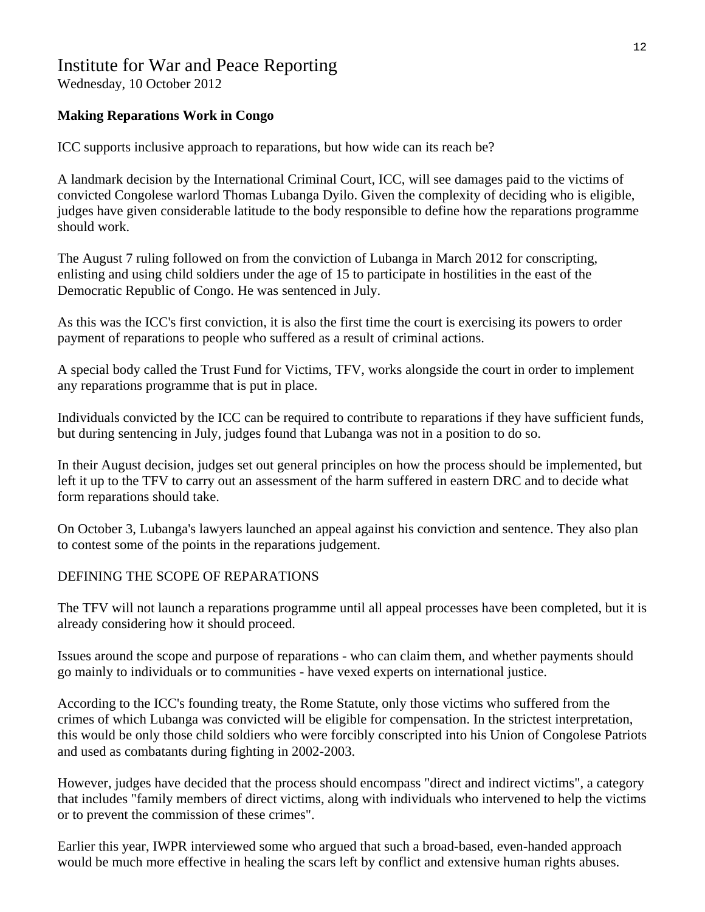### Institute for War and Peace Reporting

Wednesday, 10 October 2012

#### **Making Reparations Work in Congo**

ICC supports inclusive approach to reparations, but how wide can its reach be?

A landmark decision by the International Criminal Court, ICC, will see damages paid to the victims of convicted Congolese warlord Thomas Lubanga Dyilo. Given the complexity of deciding who is eligible, judges have given considerable latitude to the body responsible to define how the reparations programme should work.

The August 7 ruling followed on from the conviction of Lubanga in March 2012 for conscripting, enlisting and using child soldiers under the age of 15 to participate in hostilities in the east of the Democratic Republic of Congo. He was sentenced in July.

As this was the ICC's first conviction, it is also the first time the court is exercising its powers to order payment of reparations to people who suffered as a result of criminal actions.

A special body called the Trust Fund for Victims, TFV, works alongside the court in order to implement any reparations programme that is put in place.

Individuals convicted by the ICC can be required to contribute to reparations if they have sufficient funds, but during sentencing in July, judges found that Lubanga was not in a position to do so.

In their August decision, judges set out general principles on how the process should be implemented, but left it up to the TFV to carry out an assessment of the harm suffered in eastern DRC and to decide what form reparations should take.

On October 3, Lubanga's lawyers launched an appeal against his conviction and sentence. They also plan to contest some of the points in the reparations judgement.

#### DEFINING THE SCOPE OF REPARATIONS

The TFV will not launch a reparations programme until all appeal processes have been completed, but it is already considering how it should proceed.

Issues around the scope and purpose of reparations - who can claim them, and whether payments should go mainly to individuals or to communities - have vexed experts on international justice.

According to the ICC's founding treaty, the Rome Statute, only those victims who suffered from the crimes of which Lubanga was convicted will be eligible for compensation. In the strictest interpretation, this would be only those child soldiers who were forcibly conscripted into his Union of Congolese Patriots and used as combatants during fighting in 2002-2003.

However, judges have decided that the process should encompass "direct and indirect victims", a category that includes "family members of direct victims, along with individuals who intervened to help the victims or to prevent the commission of these crimes".

Earlier this year, IWPR interviewed some who argued that such a broad-based, even-handed approach would be much more effective in healing the scars left by conflict and extensive human rights abuses.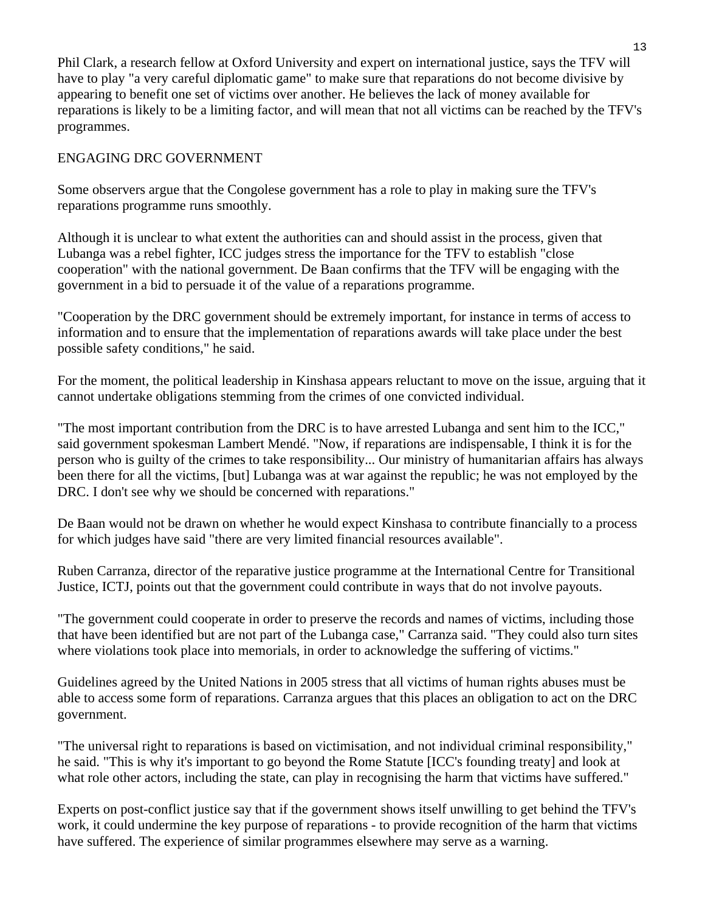Phil Clark, a research fellow at Oxford University and expert on international justice, says the TFV will have to play "a very careful diplomatic game" to make sure that reparations do not become divisive by appearing to benefit one set of victims over another. He believes the lack of money available for reparations is likely to be a limiting factor, and will mean that not all victims can be reached by the TFV's programmes.

#### ENGAGING DRC GOVERNMENT

Some observers argue that the Congolese government has a role to play in making sure the TFV's reparations programme runs smoothly.

Although it is unclear to what extent the authorities can and should assist in the process, given that Lubanga was a rebel fighter, ICC judges stress the importance for the TFV to establish "close cooperation" with the national government. De Baan confirms that the TFV will be engaging with the government in a bid to persuade it of the value of a reparations programme.

"Cooperation by the DRC government should be extremely important, for instance in terms of access to information and to ensure that the implementation of reparations awards will take place under the best possible safety conditions," he said.

For the moment, the political leadership in Kinshasa appears reluctant to move on the issue, arguing that it cannot undertake obligations stemming from the crimes of one convicted individual.

"The most important contribution from the DRC is to have arrested Lubanga and sent him to the ICC," said government spokesman Lambert Mendé. "Now, if reparations are indispensable, I think it is for the person who is guilty of the crimes to take responsibility... Our ministry of humanitarian affairs has always been there for all the victims, [but] Lubanga was at war against the republic; he was not employed by the DRC. I don't see why we should be concerned with reparations."

De Baan would not be drawn on whether he would expect Kinshasa to contribute financially to a process for which judges have said "there are very limited financial resources available".

Ruben Carranza, director of the reparative justice programme at the International Centre for Transitional Justice, ICTJ, points out that the government could contribute in ways that do not involve payouts.

"The government could cooperate in order to preserve the records and names of victims, including those that have been identified but are not part of the Lubanga case," Carranza said. "They could also turn sites where violations took place into memorials, in order to acknowledge the suffering of victims."

Guidelines agreed by the United Nations in 2005 stress that all victims of human rights abuses must be able to access some form of reparations. Carranza argues that this places an obligation to act on the DRC government.

"The universal right to reparations is based on victimisation, and not individual criminal responsibility," he said. "This is why it's important to go beyond the Rome Statute [ICC's founding treaty] and look at what role other actors, including the state, can play in recognising the harm that victims have suffered."

Experts on post-conflict justice say that if the government shows itself unwilling to get behind the TFV's work, it could undermine the key purpose of reparations - to provide recognition of the harm that victims have suffered. The experience of similar programmes elsewhere may serve as a warning.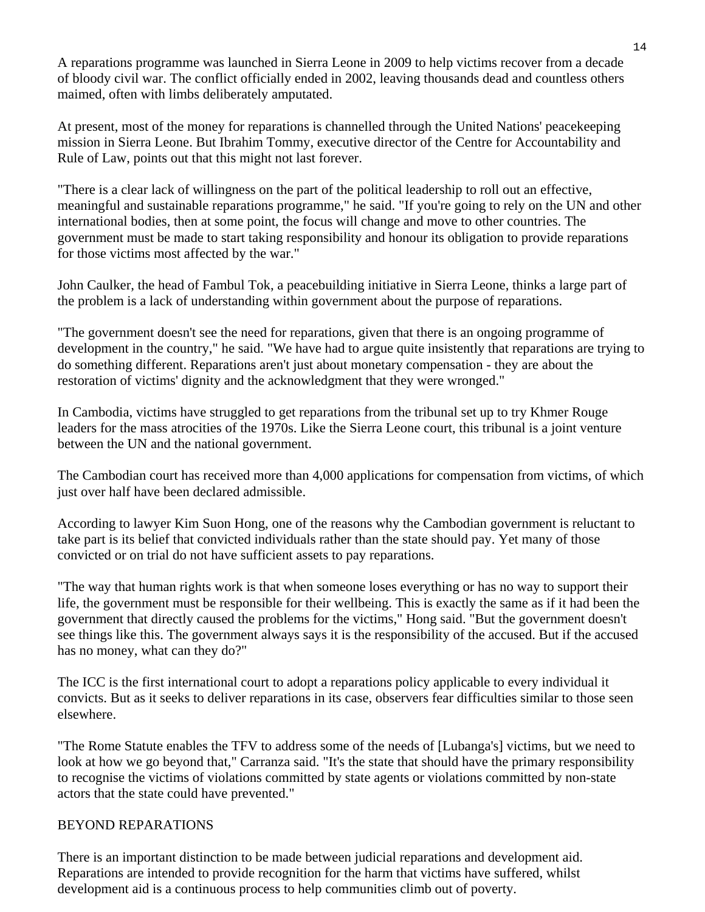A reparations programme was launched in Sierra Leone in 2009 to help victims recover from a decade of bloody civil war. The conflict officially ended in 2002, leaving thousands dead and countless others maimed, often with limbs deliberately amputated.

At present, most of the money for reparations is channelled through the United Nations' peacekeeping mission in Sierra Leone. But Ibrahim Tommy, executive director of the Centre for Accountability and Rule of Law, points out that this might not last forever.

"There is a clear lack of willingness on the part of the political leadership to roll out an effective, meaningful and sustainable reparations programme," he said. "If you're going to rely on the UN and other international bodies, then at some point, the focus will change and move to other countries. The government must be made to start taking responsibility and honour its obligation to provide reparations for those victims most affected by the war."

John Caulker, the head of Fambul Tok, a peacebuilding initiative in Sierra Leone, thinks a large part of the problem is a lack of understanding within government about the purpose of reparations.

"The government doesn't see the need for reparations, given that there is an ongoing programme of development in the country," he said. "We have had to argue quite insistently that reparations are trying to do something different. Reparations aren't just about monetary compensation - they are about the restoration of victims' dignity and the acknowledgment that they were wronged."

In Cambodia, victims have struggled to get reparations from the tribunal set up to try Khmer Rouge leaders for the mass atrocities of the 1970s. Like the Sierra Leone court, this tribunal is a joint venture between the UN and the national government.

The Cambodian court has received more than 4,000 applications for compensation from victims, of which just over half have been declared admissible.

According to lawyer Kim Suon Hong, one of the reasons why the Cambodian government is reluctant to take part is its belief that convicted individuals rather than the state should pay. Yet many of those convicted or on trial do not have sufficient assets to pay reparations.

"The way that human rights work is that when someone loses everything or has no way to support their life, the government must be responsible for their wellbeing. This is exactly the same as if it had been the government that directly caused the problems for the victims," Hong said. "But the government doesn't see things like this. The government always says it is the responsibility of the accused. But if the accused has no money, what can they do?"

The ICC is the first international court to adopt a reparations policy applicable to every individual it convicts. But as it seeks to deliver reparations in its case, observers fear difficulties similar to those seen elsewhere.

"The Rome Statute enables the TFV to address some of the needs of [Lubanga's] victims, but we need to look at how we go beyond that," Carranza said. "It's the state that should have the primary responsibility to recognise the victims of violations committed by state agents or violations committed by non-state actors that the state could have prevented."

#### BEYOND REPARATIONS

There is an important distinction to be made between judicial reparations and development aid. Reparations are intended to provide recognition for the harm that victims have suffered, whilst development aid is a continuous process to help communities climb out of poverty.